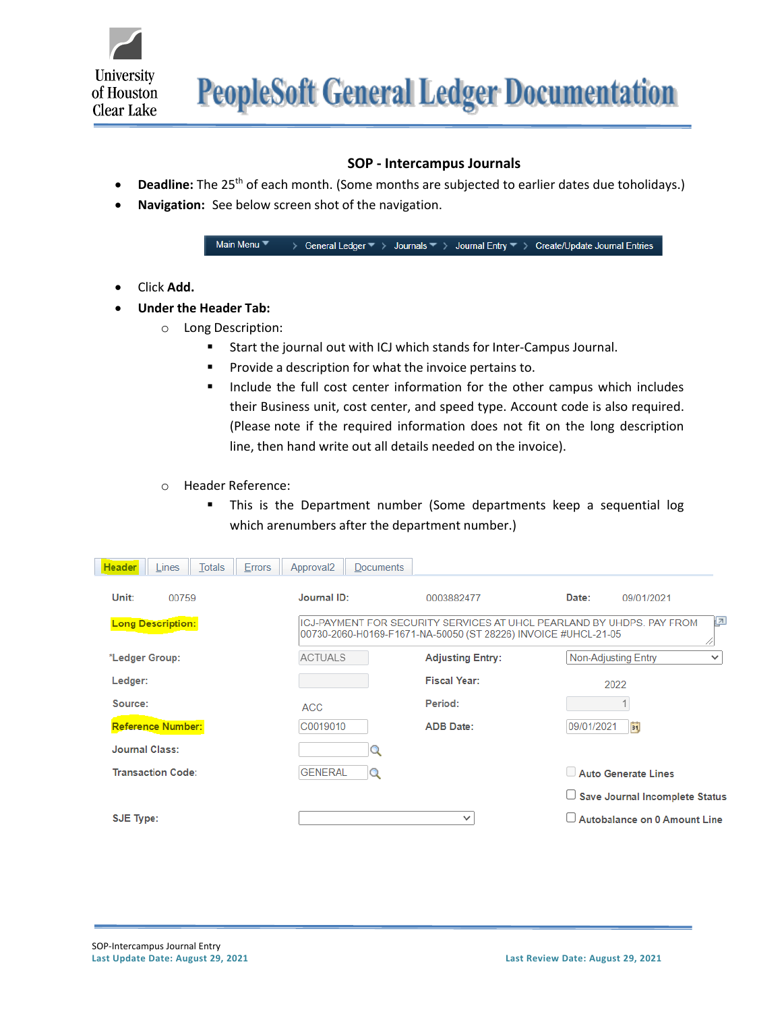

**PeopleSoft General Ledger Documentation** 

## **SOP - Intercampus Journals**

- **Deadline:** The 25<sup>th</sup> of each month. (Some months are subjected to earlier dates due toholidays.)
- **Navigation:** See below screen shot of the navigation.

Main Menu <sup>▼</sup> > General Ledger  $\overline{\phantom{a}}$  > Journals  $\overline{\phantom{a}}$  > Journal Entry  $\overline{\phantom{a}}$  > Create/Update Journal Entries

- Click **Add.**
- **Under the Header Tab:**
	- o Long Description:
		- Start the journal out with ICJ which stands for Inter-Campus Journal.
		- Provide a description for what the invoice pertains to.
		- Include the full cost center information for the other campus which includes their Business unit, cost center, and speed type. Account code is also required. (Please note if the required information does not fit on the long description line, then hand write out all details needed on the invoice).
	- o Header Reference:
		- **EXT** This is the Department number (Some departments keep a sequential log which arenumbers after the department number.)

| <b>Header</b><br><b>Totals</b><br>Lines | Approval <sub>2</sub><br><b>Documents</b><br><b>Errors</b> |                                                                |                                                                       |              |  |  |
|-----------------------------------------|------------------------------------------------------------|----------------------------------------------------------------|-----------------------------------------------------------------------|--------------|--|--|
| Unit:<br>00759                          | Journal ID:                                                | 0003882477                                                     | Date:<br>09/01/2021                                                   |              |  |  |
| <b>Long Description:</b>                |                                                            | 00730-2060-H0169-F1671-NA-50050 (ST 28226) INVOICE #UHCL-21-05 | ICJ-PAYMENT FOR SECURITY SERVICES AT UHCL PEARLAND BY UHDPS. PAY FROM | Ł<br>//      |  |  |
| *Ledger Group:                          | <b>ACTUALS</b>                                             | <b>Adjusting Entry:</b>                                        | Non-Adjusting Entry                                                   | $\checkmark$ |  |  |
| Ledger:                                 |                                                            | <b>Fiscal Year:</b>                                            | 2022                                                                  |              |  |  |
| Source:                                 | <b>ACC</b>                                                 | Period:                                                        |                                                                       |              |  |  |
| <b>Reference Number:</b>                | C0019010                                                   | <b>ADB Date:</b>                                               | Ħ<br>09/01/2021                                                       |              |  |  |
| <b>Journal Class:</b>                   |                                                            |                                                                |                                                                       |              |  |  |
| <b>Transaction Code:</b>                | <b>GENERAL</b>                                             |                                                                | Auto Generate Lines                                                   |              |  |  |
|                                         |                                                            |                                                                | □ Save Journal Incomplete Status                                      |              |  |  |
| SJE Type:                               |                                                            | $\checkmark$                                                   | $\Box$ Autobalance on 0 Amount Line                                   |              |  |  |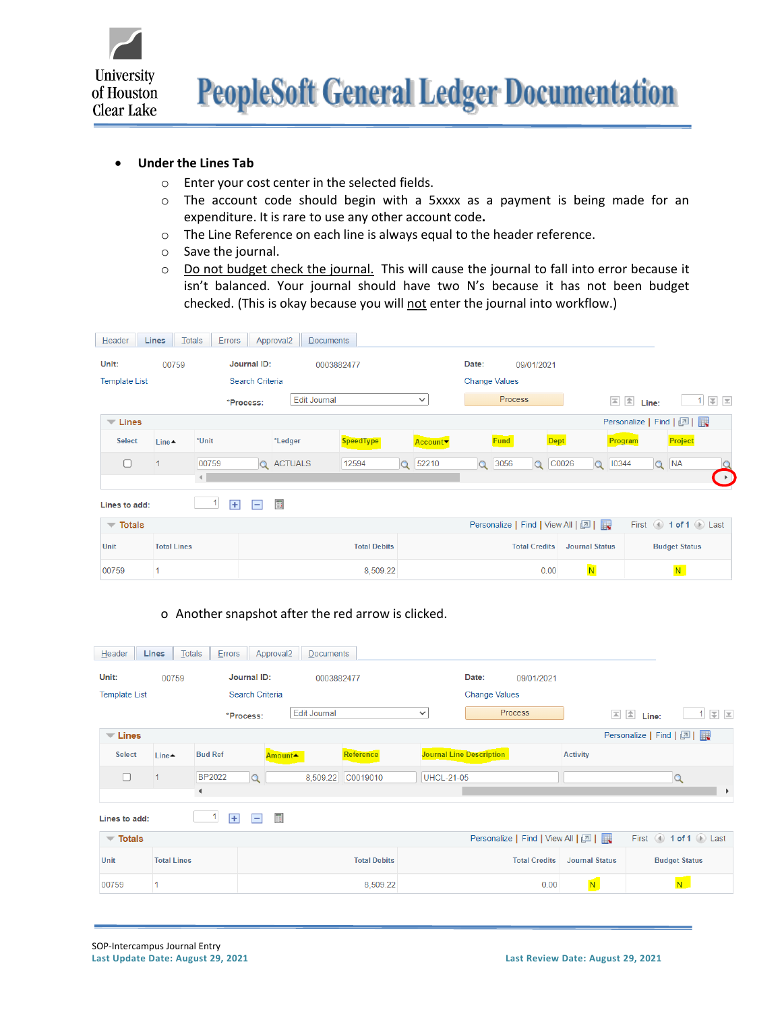

## • **Under the Lines Tab**

- o Enter your cost center in the selected fields.
- o The account code should begin with a 5xxxx as a payment is being made for an expenditure. It is rare to use any other account code**.**
- o The Line Reference on each line is always equal to the header reference.
- o Save the journal.
- o Do not budget check the journal. This will cause the journal to fall into error because it isn't balanced. Your journal should have two N's because it has not been budget checked. (This is okay because you will not enter the journal into workflow.)

| Header                                                      | <b>Lines</b>                    | Totals                             | Errors |  | Approval <sub>2</sub> | <b>Documents</b> |                     |          |                      |          |             |                                   |                                               |          |                        |                     |                      |                                                    |
|-------------------------------------------------------------|---------------------------------|------------------------------------|--------|--|-----------------------|------------------|---------------------|----------|----------------------|----------|-------------|-----------------------------------|-----------------------------------------------|----------|------------------------|---------------------|----------------------|----------------------------------------------------|
| Unit:                                                       |                                 | Journal ID:<br>00759<br>0003882477 |        |  |                       |                  |                     |          |                      | Date:    |             | 09/01/2021                        |                                               |          |                        |                     |                      |                                                    |
| <b>Search Criteria</b><br><b>Template List</b>              |                                 |                                    |        |  |                       |                  |                     |          | <b>Change Values</b> |          |             |                                   |                                               |          |                        |                     |                      |                                                    |
|                                                             |                                 | <b>Edit Journal</b><br>*Process:   |        |  |                       |                  | $\checkmark$        |          | <b>Process</b>       |          |             |                                   | $\boxed{\triangle}$ $\boxed{\triangle}$ Line: |          | $\vert$ 1              | 王                   |                      |                                                    |
| $\blacktriangledown$ Lines                                  |                                 |                                    |        |  |                       |                  |                     |          |                      |          |             |                                   |                                               |          | Personalize   Find   2 |                     |                      |                                                    |
| <b>Select</b>                                               | Line $\triangle$                | *Unit                              |        |  | *Ledger               |                  | <b>SpeedType</b>    |          | Account <sup>v</sup> |          | <b>Fund</b> |                                   | <b>Dept</b>                                   |          | Program                |                     | Project              |                                                    |
| $\Box$                                                      | $\vert$ 1                       |                                    | 00759  |  | <b>Q</b> ACTUALS      |                  | 12594               | $\alpha$ | 52210                | $\Omega$ | 3056        | $\Omega$                          | C0026                                         | $\Omega$ | 10344                  | $\alpha$            | <b>NA</b>            |                                                    |
|                                                             |                                 | €.                                 |        |  |                       |                  |                     |          |                      |          |             |                                   |                                               |          |                        |                     |                      | $\begin{bmatrix} \bullet \\ \bullet \end{bmatrix}$ |
| 圃<br>$\overline{+}$<br>1<br>$\blacksquare$<br>Lines to add: |                                 |                                    |        |  |                       |                  |                     |          |                      |          |             |                                   |                                               |          |                        |                     |                      |                                                    |
|                                                             | $\overline{\phantom{a}}$ Totals |                                    |        |  |                       |                  |                     |          |                      |          |             | Personalize   Find   View All   2 |                                               |          |                        | First 1 of 1 D Last |                      |                                                    |
| Unit                                                        |                                 | <b>Total Lines</b>                 |        |  |                       |                  | <b>Total Debits</b> |          |                      |          |             | <b>Total Credits</b>              | <b>Journal Status</b>                         |          |                        |                     | <b>Budget Status</b> |                                                    |
| 00759                                                       |                                 |                                    |        |  |                       |                  | 8,509.22            |          |                      |          |             |                                   | 0.00                                          | N        |                        |                     | N                    |                                                    |

o Another snapshot after the red arrow is clicked.

| Header                                  | Lines                | Totals             | Errors         | Approval <sub>2</sub>            | <b>Documents</b>    |                     |              |                                 |            |                                   |                       |                               |                       |
|-----------------------------------------|----------------------|--------------------|----------------|----------------------------------|---------------------|---------------------|--------------|---------------------------------|------------|-----------------------------------|-----------------------|-------------------------------|-----------------------|
| Unit:                                   | Journal ID:<br>00759 |                    |                | 0003882477                       |                     |                     |              | Date:                           | 09/01/2021 |                                   |                       |                               |                       |
| Search Criteria<br><b>Template List</b> |                      |                    |                |                                  |                     |                     |              | <b>Change Values</b>            |            |                                   |                       |                               |                       |
|                                         |                      |                    | *Process:      |                                  | <b>Edit Journal</b> |                     | $\checkmark$ |                                 |            | <b>Process</b>                    |                       | $\boxed{2}$ $\boxed{2}$ Line: | 国国<br>$\mathbf{1}$    |
| $\blacktriangledown$ Lines              |                      |                    |                |                                  |                     |                     |              |                                 |            |                                   |                       | Personalize   Find   2        |                       |
| <b>Select</b>                           | Line $\triangle$     | <b>Bud Ref</b>     |                | Amount <sup>*</sup>              |                     | Reference           |              | <b>Journal Line Description</b> |            |                                   | <b>Activity</b>       |                               |                       |
| $\Box$                                  | $\overline{1}$       |                    | <b>BP2022</b>  | $\Omega$                         | 8,509.22            | C0019010            |              | <b>UHCL-21-05</b>               |            |                                   |                       |                               | $\alpha$              |
| ◀                                       |                      |                    |                |                                  |                     |                     |              |                                 |            | $\mathbf{r}$                      |                       |                               |                       |
| Lines to add:                           |                      |                    | $\overline{+}$ | $\blacksquare$<br>$\overline{ }$ |                     |                     |              |                                 |            |                                   |                       |                               |                       |
| $\overline{\phantom{a}}$ Totals         |                      |                    |                |                                  |                     |                     |              |                                 |            | Personalize   Find   View All   2 |                       |                               | First 4 1 of 1 D Last |
| Unit                                    |                      | <b>Total Lines</b> |                |                                  |                     | <b>Total Debits</b> |              |                                 |            | <b>Total Credits</b>              | <b>Journal Status</b> |                               | <b>Budget Status</b>  |
| 00759                                   |                      |                    |                |                                  |                     | 8,509.22            |              |                                 |            | 0.00                              | N.                    |                               | N                     |